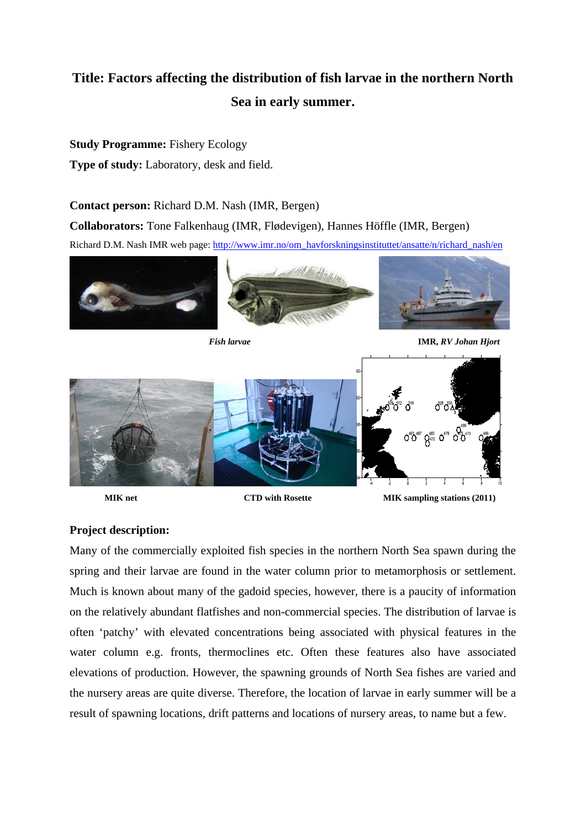# **Title: Factors affecting the distribution of fish larvae in the northern North Sea in early summer.**

## **Study Programme:** Fishery Ecology

**Type of study:** Laboratory, desk and field.

# **Contact person:** Richard D.M. Nash (IMR, Bergen)

**Collaborators:** Tone Falkenhaug (IMR, Flødevigen), Hannes Höffle (IMR, Bergen)

Richard D.M. Nash IMR web page: http://www.imr.no/om\_havforskningsinstituttet/ansatte/n/richard\_nash/en



*Fish larvae* **IMR,** *RV Johan Hjort*



**MIK net CTD with Rosette MIK sampling stations (2011) MIK** sampling stations (2011)

## **Project description:**

Many of the commercially exploited fish species in the northern North Sea spawn during the spring and their larvae are found in the water column prior to metamorphosis or settlement. Much is known about many of the gadoid species, however, there is a paucity of information on the relatively abundant flatfishes and non-commercial species. The distribution of larvae is often 'patchy' with elevated concentrations being associated with physical features in the water column e.g. fronts, thermoclines etc. Often these features also have associated elevations of production. However, the spawning grounds of North Sea fishes are varied and the nursery areas are quite diverse. Therefore, the location of larvae in early summer will be a result of spawning locations, drift patterns and locations of nursery areas, to name but a few.